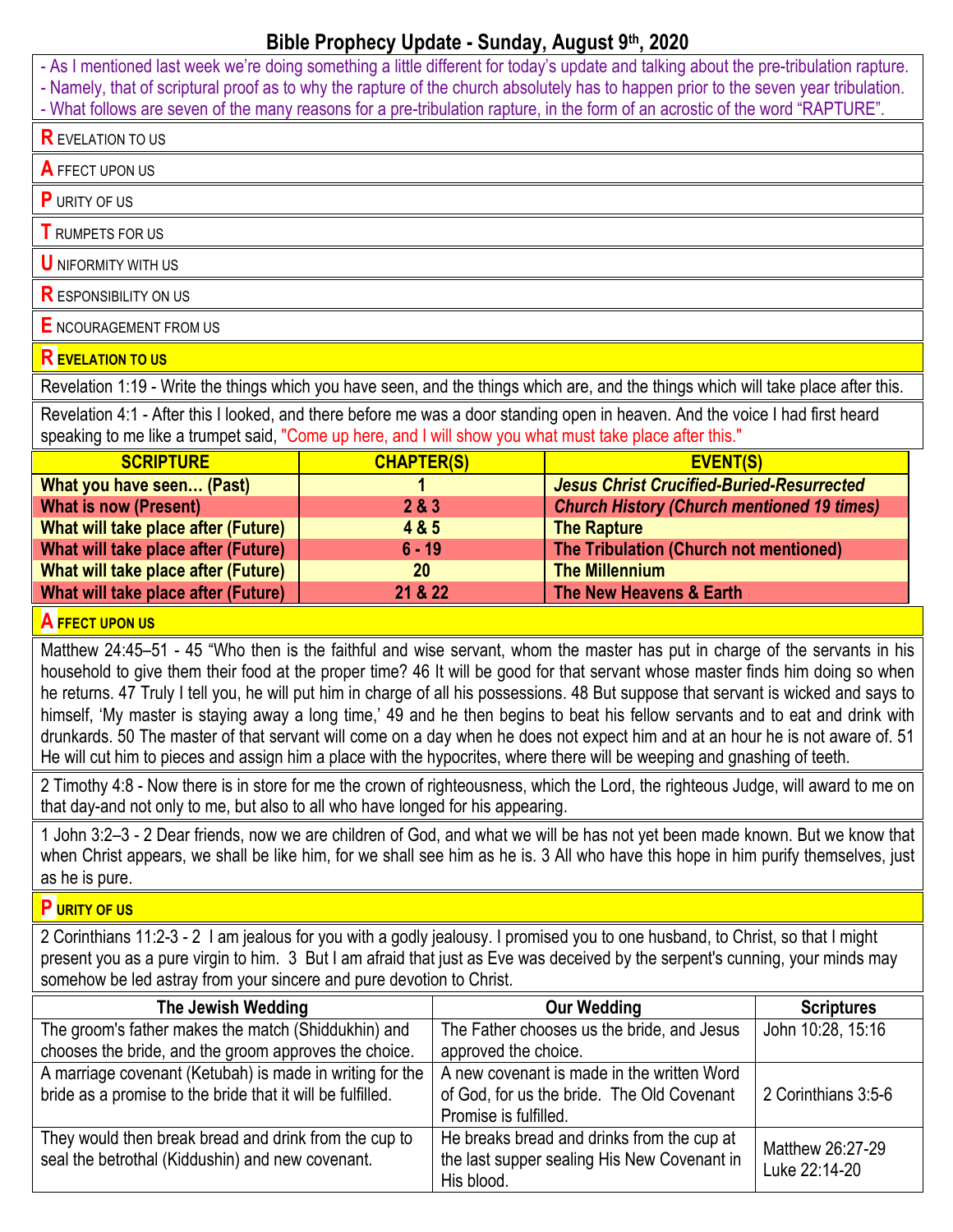## **Bible Prophecy Update - Sunday, August 9th, 2020**

- As I mentioned last week we're doing something a little different for today's update and talking about the pre-tribulation rapture. - Namely, that of scriptural proof as to why the rapture of the church absolutely has to happen prior to the seven year tribulation. - What follows are seven of the many reasons for a pre-tribulation rapture, in the form of an acrostic of the word "RAPTURE". **R** EVELATION TO US **A** FFECT UPON US **P** URITY OF US **T** RUMPETS FOR US **U** NIFORMITY WITH US **R** ESPONSIBILITY ON US **E** NCOURAGEMENT FROM US **R EVELATION TO US**  Revelation 1:19 - Write the things which you have seen, and the things which are, and the things which will take place after this. Revelation 4:1 - After this I looked, and there before me was a door standing open in heaven. And the voice I had first heard speaking to me like a trumpet said, "Come up here, and I will show you what must take place after this." **SCRIPTURE CHAPTER(S) EVENT(S) What you have seen… (Past) 1** *Jesus Christ Crucified-Buried-Resurrected* **What is now (Present) 2 & 3** *Church History (Church mentioned 19 times)* **What will take place after (Future) 4 & 5 The Rapture What will take place after (Future) 6 - 19 The Tribulation (Church not mentioned) What will take place after (Future) 20 The Millennium What will take place after (Future) 21 & 22 The New Heavens & Earth A FFECT UPON US**  Matthew 24:45–51 - 45 "Who then is the faithful and wise servant, whom the master has put in charge of the servants in his household to give them their food at the proper time? 46 It will be good for that servant whose master finds him doing so when he returns. 47 Truly I tell you, he will put him in charge of all his possessions. 48 But suppose that servant is wicked and says to himself, 'My master is staying away a long time,' 49 and he then begins to beat his fellow servants and to eat and drink with drunkards. 50 The master of that servant will come on a day when he does not expect him and at an hour he is not aware of. 51 He will cut him to pieces and assign him a place with the hypocrites, where there will be weeping and gnashing of teeth. 2 Timothy 4:8 - Now there is in store for me the crown of righteousness, which the Lord, the righteous Judge, will award to me on that day-and not only to me, but also to all who have longed for his appearing. 1 John 3:2–3 - 2 Dear friends, now we are children of God, and what we will be has not yet been made known. But we know that when Christ appears, we shall be like him, for we shall see him as he is. 3 All who have this hope in him purify themselves, just as he is pure. **P URITY OF US**  2 Corinthians 11:2-3 - 2 I am jealous for you with a godly jealousy. I promised you to one husband, to Christ, so that I might present you as a pure virgin to him. 3 But I am afraid that just as Eve was deceived by the serpent's cunning, your minds may somehow be led astray from your sincere and pure devotion to Christ.

| The Jewish Wedding                                                                                                     | <b>Our Wedding</b>                                                                                                | <b>Scriptures</b>                 |
|------------------------------------------------------------------------------------------------------------------------|-------------------------------------------------------------------------------------------------------------------|-----------------------------------|
| The groom's father makes the match (Shiddukhin) and                                                                    | The Father chooses us the bride, and Jesus                                                                        | John 10:28, 15:16                 |
| chooses the bride, and the groom approves the choice.                                                                  | approved the choice.                                                                                              |                                   |
| A marriage covenant (Ketubah) is made in writing for the<br>bride as a promise to the bride that it will be fulfilled. | A new covenant is made in the written Word<br>of God, for us the bride. The Old Covenant<br>Promise is fulfilled. | 2 Corinthians 3:5-6               |
| They would then break bread and drink from the cup to<br>seal the betrothal (Kiddushin) and new covenant.              | He breaks bread and drinks from the cup at<br>the last supper sealing His New Covenant in<br>His blood.           | Matthew 26:27-29<br>Luke 22:14-20 |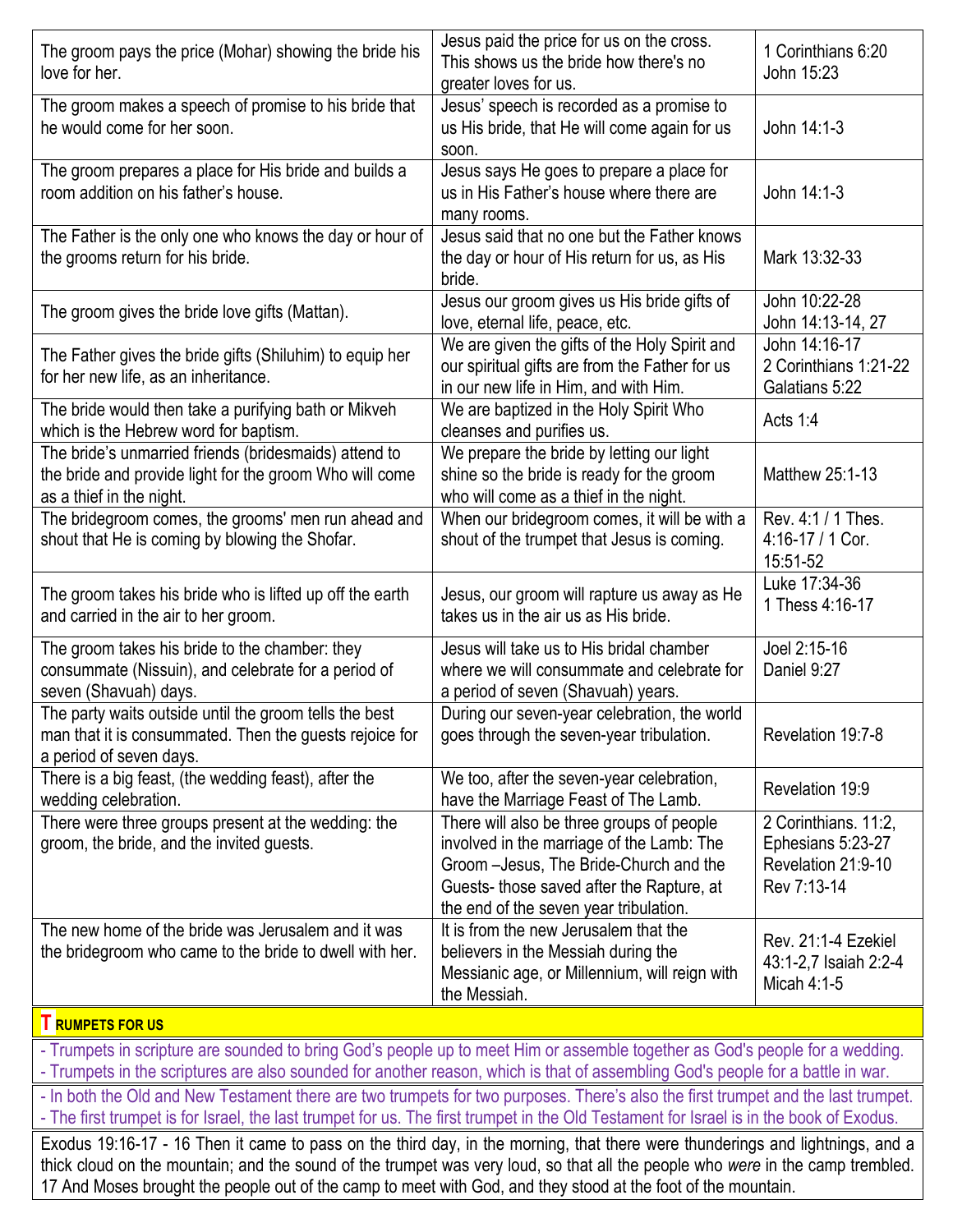| The groom pays the price (Mohar) showing the bride his<br>love for her.                                                                      | Jesus paid the price for us on the cross.<br>This shows us the bride how there's no<br>greater loves for us.                                                                                                            | 1 Corinthians 6:20<br>John 15:23                                               |
|----------------------------------------------------------------------------------------------------------------------------------------------|-------------------------------------------------------------------------------------------------------------------------------------------------------------------------------------------------------------------------|--------------------------------------------------------------------------------|
| The groom makes a speech of promise to his bride that<br>he would come for her soon.                                                         | Jesus' speech is recorded as a promise to<br>us His bride, that He will come again for us<br>soon.                                                                                                                      | John 14:1-3                                                                    |
| The groom prepares a place for His bride and builds a<br>room addition on his father's house.                                                | Jesus says He goes to prepare a place for<br>us in His Father's house where there are<br>many rooms.                                                                                                                    | John 14:1-3                                                                    |
| The Father is the only one who knows the day or hour of<br>the grooms return for his bride.                                                  | Jesus said that no one but the Father knows<br>the day or hour of His return for us, as His<br>bride.                                                                                                                   | Mark 13:32-33                                                                  |
| The groom gives the bride love gifts (Mattan).                                                                                               | Jesus our groom gives us His bride gifts of<br>love, eternal life, peace, etc.                                                                                                                                          | John 10:22-28<br>John 14:13-14, 27                                             |
| The Father gives the bride gifts (Shiluhim) to equip her<br>for her new life, as an inheritance.                                             | We are given the gifts of the Holy Spirit and<br>our spiritual gifts are from the Father for us<br>in our new life in Him, and with Him.                                                                                | John 14:16-17<br>2 Corinthians 1:21-22<br>Galatians 5:22                       |
| The bride would then take a purifying bath or Mikveh<br>which is the Hebrew word for baptism.                                                | We are baptized in the Holy Spirit Who<br>cleanses and purifies us.                                                                                                                                                     | Acts 1:4                                                                       |
| The bride's unmarried friends (bridesmaids) attend to<br>the bride and provide light for the groom Who will come<br>as a thief in the night. | We prepare the bride by letting our light<br>shine so the bride is ready for the groom<br>who will come as a thief in the night.                                                                                        | Matthew 25:1-13                                                                |
| The bridegroom comes, the grooms' men run ahead and<br>shout that He is coming by blowing the Shofar.                                        | When our bridegroom comes, it will be with a<br>shout of the trumpet that Jesus is coming.                                                                                                                              | Rev. 4:1 / 1 Thes.<br>4:16-17 / 1 Cor.<br>15:51-52                             |
| The groom takes his bride who is lifted up off the earth<br>and carried in the air to her groom.                                             | Jesus, our groom will rapture us away as He<br>takes us in the air us as His bride.                                                                                                                                     | Luke 17:34-36<br>1 Thess 4:16-17                                               |
| The groom takes his bride to the chamber: they<br>consummate (Nissuin), and celebrate for a period of<br>seven (Shavuah) days.               | Jesus will take us to His bridal chamber<br>where we will consummate and celebrate for<br>a period of seven (Shavuah) years.                                                                                            | Joel 2:15-16<br>Daniel 9:27                                                    |
| The party waits outside until the groom tells the best<br>man that it is consummated. Then the guests rejoice for<br>a period of seven days. | During our seven-year celebration, the world<br>goes through the seven-year tribulation.                                                                                                                                | Revelation 19:7-8                                                              |
| There is a big feast, (the wedding feast), after the<br>wedding celebration.                                                                 | We too, after the seven-year celebration,<br>have the Marriage Feast of The Lamb.                                                                                                                                       | Revelation 19:9                                                                |
| There were three groups present at the wedding: the<br>groom, the bride, and the invited guests.                                             | There will also be three groups of people<br>involved in the marriage of the Lamb: The<br>Groom - Jesus, The Bride-Church and the<br>Guests-those saved after the Rapture, at<br>the end of the seven year tribulation. | 2 Corinthians. 11:2,<br>Ephesians 5:23-27<br>Revelation 21:9-10<br>Rev 7:13-14 |
| The new home of the bride was Jerusalem and it was<br>the bridegroom who came to the bride to dwell with her.                                | It is from the new Jerusalem that the<br>believers in the Messiah during the<br>Messianic age, or Millennium, will reign with<br>the Messiah.                                                                           | Rev. 21:1-4 Ezekiel<br>43:1-2,7 Isaiah 2:2-4<br>Micah 4:1-5                    |
| <b>T</b> RUMPETS FOR US                                                                                                                      |                                                                                                                                                                                                                         |                                                                                |

- Trumpets in scripture are sounded to bring God's people up to meet Him or assemble together as God's people for a wedding. - Trumpets in the scriptures are also sounded for another reason, which is that of assembling God's people for a battle in war.

- In both the Old and New Testament there are two trumpets for two purposes. There's also the first trumpet and the last trumpet.

- The first trumpet is for Israel, the last trumpet for us. The first trumpet in the Old Testament for Israel is in the book of Exodus.

Exodus 19:16-17 - 16 Then it came to pass on the third day, in the morning, that there were thunderings and lightnings, and a thick cloud on the mountain; and the sound of the trumpet was very loud, so that all the people who *were* in the camp trembled. 17 And Moses brought the people out of the camp to meet with God, and they stood at the foot of the mountain.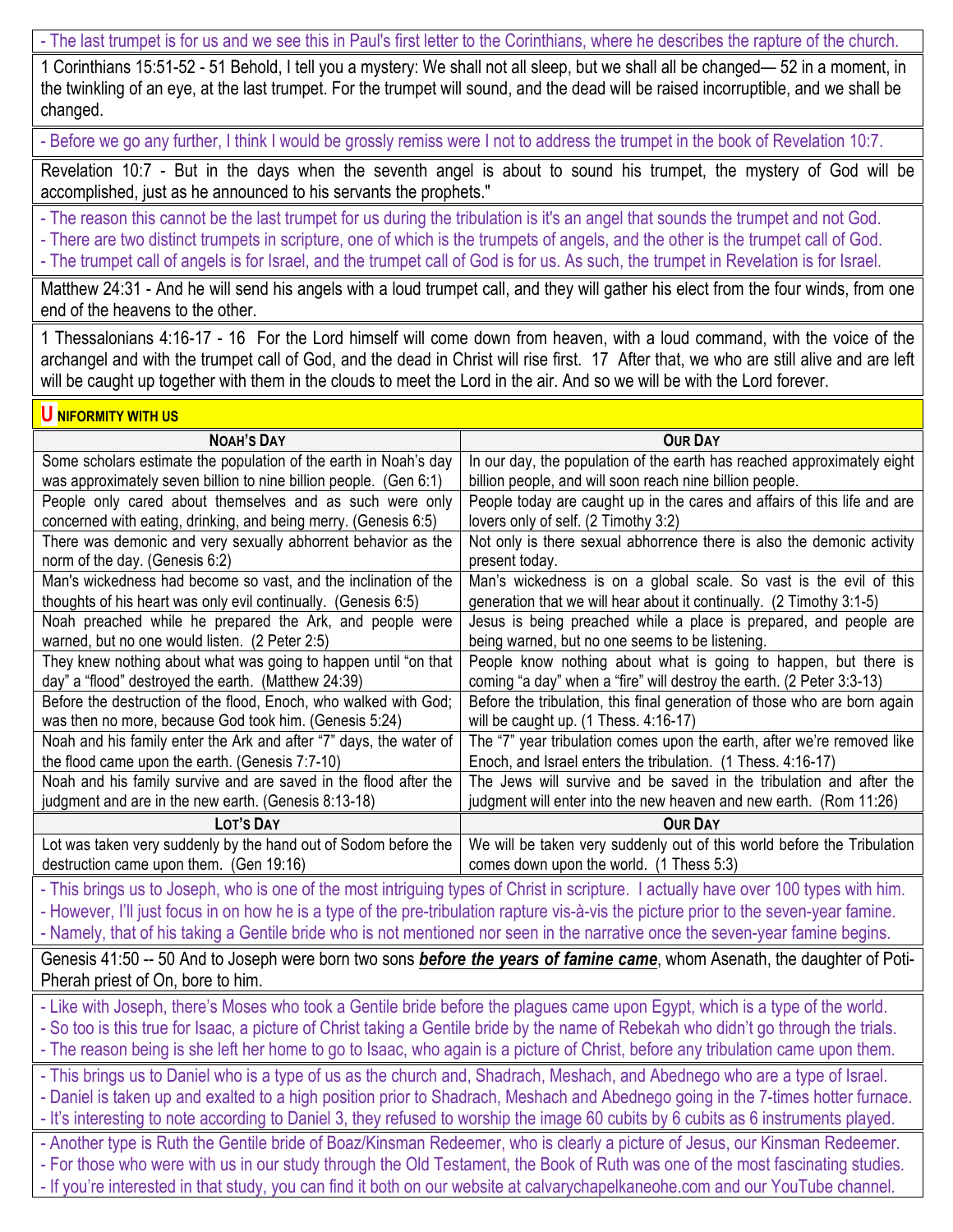- The last trumpet is for us and we see this in Paul's first letter to the Corinthians, where he describes the rapture of the church.

1 Corinthians 15:51-52 - 51 Behold, I tell you a mystery: We shall not all sleep, but we shall all be changed— 52 in a moment, in the twinkling of an eye, at the last trumpet. For the trumpet will sound, and the dead will be raised incorruptible, and we shall be changed.

- Before we go any further, I think I would be grossly remiss were I not to address the trumpet in the book of Revelation 10:7.

Revelation 10:7 - But in the days when the seventh angel is about to sound his trumpet, the mystery of God will be accomplished, just as he announced to his servants the prophets."

- The reason this cannot be the last trumpet for us during the tribulation is it's an angel that sounds the trumpet and not God. - There are two distinct trumpets in scripture, one of which is the trumpets of angels, and the other is the trumpet call of God. - The trumpet call of angels is for Israel, and the trumpet call of God is for us. As such, the trumpet in Revelation is for Israel.

Matthew 24:31 - And he will send his angels with a loud trumpet call, and they will gather his elect from the four winds, from one end of the heavens to the other.

1 Thessalonians 4:16-17 - 16 For the Lord himself will come down from heaven, with a loud command, with the voice of the archangel and with the trumpet call of God, and the dead in Christ will rise first. 17 After that, we who are still alive and are left will be caught up together with them in the clouds to meet the Lord in the air. And so we will be with the Lord forever.

## **U NIFORMITY WITH US**

| <b>NOAH'S DAY</b>                                                  | <b>OUR DAY</b>                                                                                                                                                                                                                                                           |
|--------------------------------------------------------------------|--------------------------------------------------------------------------------------------------------------------------------------------------------------------------------------------------------------------------------------------------------------------------|
| Some scholars estimate the population of the earth in Noah's day   | In our day, the population of the earth has reached approximately eight                                                                                                                                                                                                  |
| was approximately seven billion to nine billion people. (Gen 6:1)  | billion people, and will soon reach nine billion people.                                                                                                                                                                                                                 |
| People only cared about themselves and as such were only           | People today are caught up in the cares and affairs of this life and are                                                                                                                                                                                                 |
| concerned with eating, drinking, and being merry. (Genesis 6:5)    | lovers only of self. (2 Timothy 3:2)                                                                                                                                                                                                                                     |
| There was demonic and very sexually abhorrent behavior as the      | Not only is there sexual abhorrence there is also the demonic activity                                                                                                                                                                                                   |
| norm of the day. (Genesis 6:2)                                     | present today.                                                                                                                                                                                                                                                           |
| Man's wickedness had become so vast, and the inclination of the    | Man's wickedness is on a global scale. So vast is the evil of this                                                                                                                                                                                                       |
| thoughts of his heart was only evil continually. (Genesis 6:5)     | generation that we will hear about it continually. (2 Timothy 3:1-5)                                                                                                                                                                                                     |
| Noah preached while he prepared the Ark, and people were           | Jesus is being preached while a place is prepared, and people are                                                                                                                                                                                                        |
| warned, but no one would listen. (2 Peter 2:5)                     | being warned, but no one seems to be listening.                                                                                                                                                                                                                          |
| They knew nothing about what was going to happen until "on that    | People know nothing about what is going to happen, but there is                                                                                                                                                                                                          |
| day" a "flood" destroyed the earth. (Matthew 24:39)                | coming "a day" when a "fire" will destroy the earth. (2 Peter 3:3-13)                                                                                                                                                                                                    |
| Before the destruction of the flood, Enoch, who walked with God;   | Before the tribulation, this final generation of those who are born again                                                                                                                                                                                                |
| was then no more, because God took him. (Genesis 5:24)             | will be caught up. (1 Thess. 4:16-17)                                                                                                                                                                                                                                    |
| Noah and his family enter the Ark and after "7" days, the water of | The "7" year tribulation comes upon the earth, after we're removed like                                                                                                                                                                                                  |
| the flood came upon the earth. (Genesis 7:7-10)                    | Enoch, and Israel enters the tribulation. (1 Thess. 4:16-17)                                                                                                                                                                                                             |
| Noah and his family survive and are saved in the flood after the   | The Jews will survive and be saved in the tribulation and after the                                                                                                                                                                                                      |
| judgment and are in the new earth. (Genesis 8:13-18)               | judgment will enter into the new heaven and new earth. (Rom 11:26)                                                                                                                                                                                                       |
|                                                                    |                                                                                                                                                                                                                                                                          |
| LOT'S DAY                                                          | <b>OUR DAY</b>                                                                                                                                                                                                                                                           |
| Lot was taken very suddenly by the hand out of Sodom before the    | We will be taken very suddenly out of this world before the Tribulation                                                                                                                                                                                                  |
| destruction came upon them. (Gen 19:16)                            | comes down upon the world. (1 Thess 5:3)                                                                                                                                                                                                                                 |
|                                                                    | - This brings us to Joseph, who is one of the most intriguing types of Christ in scripture. I actually have over 100 types with him.                                                                                                                                     |
|                                                                    |                                                                                                                                                                                                                                                                          |
|                                                                    | - However, I'll just focus in on how he is a type of the pre-tribulation rapture vis-à-vis the picture prior to the seven-year famine.<br>- Namely, that of his taking a Gentile bride who is not mentioned nor seen in the narrative once the seven-year famine begins. |
|                                                                    |                                                                                                                                                                                                                                                                          |
| Pherah priest of On, bore to him.                                  | Genesis 41:50 -- 50 And to Joseph were born two sons <b>before the years of famine came</b> , whom Asenath, the daughter of Poti-                                                                                                                                        |
|                                                                    |                                                                                                                                                                                                                                                                          |
|                                                                    | - Like with Joseph, there's Moses who took a Gentile bride before the plagues came upon Egypt, which is a type of the world.                                                                                                                                             |
|                                                                    | - So too is this true for Isaac, a picture of Christ taking a Gentile bride by the name of Rebekah who didn't go through the trials.                                                                                                                                     |
|                                                                    | - The reason being is she left her home to go to Isaac, who again is a picture of Christ, before any tribulation came upon them.                                                                                                                                         |
|                                                                    | - This brings us to Daniel who is a type of us as the church and, Shadrach, Meshach, and Abednego who are a type of Israel.                                                                                                                                              |
|                                                                    | - Daniel is taken up and exalted to a high position prior to Shadrach, Meshach and Abednego going in the 7-times hotter furnace.                                                                                                                                         |
|                                                                    | - It's interesting to note according to Daniel 3, they refused to worship the image 60 cubits by 6 cubits as 6 instruments played.                                                                                                                                       |
|                                                                    | - Another type is Ruth the Gentile bride of Boaz/Kinsman Redeemer, who is clearly a picture of Jesus, our Kinsman Redeemer.                                                                                                                                              |
|                                                                    | - For those who were with us in our study through the Old Testament, the Book of Ruth was one of the most fascinating studies.                                                                                                                                           |